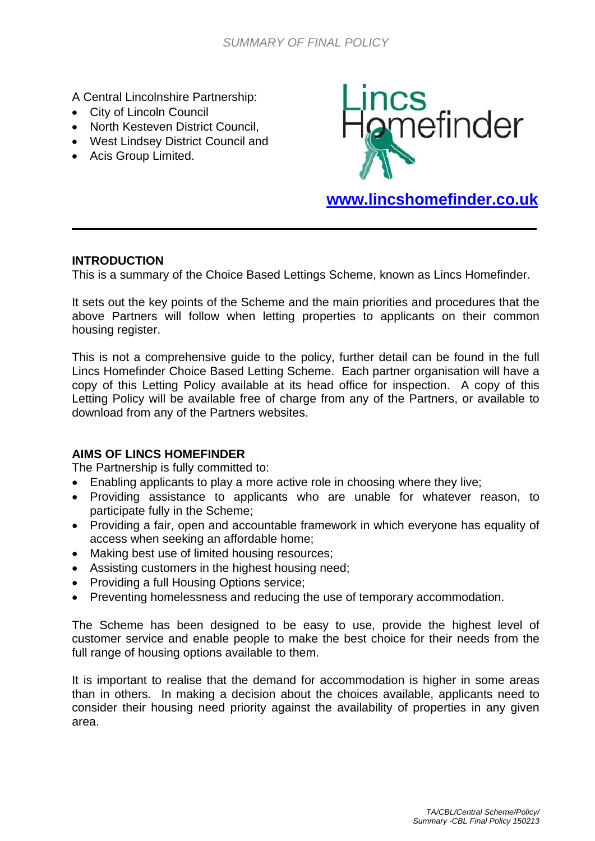A Central Lincolnshire Partnership:

- City of Lincoln Council
- North Kesteven District Council.
- West Lindsey District Council and
- Acis Group Limited.



**[www.lincshomefinder.co.uk](http://www.lincshomefinder.co.uk/)**

### **INTRODUCTION**

This is a summary of the Choice Based Lettings Scheme, known as Lincs Homefinder.

It sets out the key points of the Scheme and the main priorities and procedures that the above Partners will follow when letting properties to applicants on their common housing register.

This is not a comprehensive guide to the policy, further detail can be found in the full Lincs Homefinder Choice Based Letting Scheme. Each partner organisation will have a copy of this Letting Policy available at its head office for inspection. A copy of this Letting Policy will be available free of charge from any of the Partners, or available to download from any of the Partners websites.

### **AIMS OF LINCS HOMEFINDER**

The Partnership is fully committed to:

- Enabling applicants to play a more active role in choosing where they live;
- Providing assistance to applicants who are unable for whatever reason, to participate fully in the Scheme;
- Providing a fair, open and accountable framework in which everyone has equality of access when seeking an affordable home;
- Making best use of limited housing resources;
- Assisting customers in the highest housing need;
- Providing a full Housing Options service;
- Preventing homelessness and reducing the use of temporary accommodation.

The Scheme has been designed to be easy to use, provide the highest level of customer service and enable people to make the best choice for their needs from the full range of housing options available to them.

It is important to realise that the demand for accommodation is higher in some areas than in others. In making a decision about the choices available, applicants need to consider their housing need priority against the availability of properties in any given area.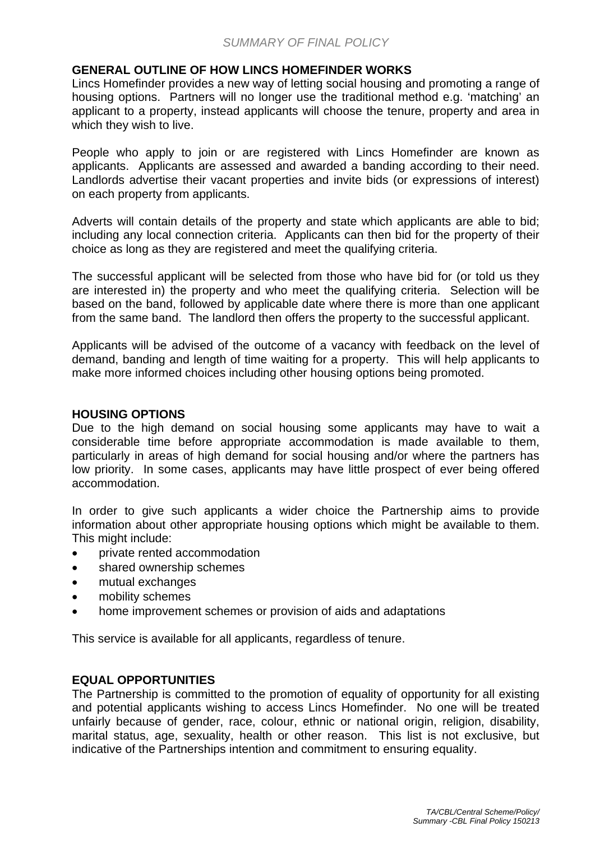### **GENERAL OUTLINE OF HOW LINCS HOMEFINDER WORKS**

Lincs Homefinder provides a new way of letting social housing and promoting a range of housing options. Partners will no longer use the traditional method e.g. 'matching' an applicant to a property, instead applicants will choose the tenure, property and area in which they wish to live.

People who apply to join or are registered with Lincs Homefinder are known as applicants. Applicants are assessed and awarded a banding according to their need. Landlords advertise their vacant properties and invite bids (or expressions of interest) on each property from applicants.

Adverts will contain details of the property and state which applicants are able to bid; including any local connection criteria. Applicants can then bid for the property of their choice as long as they are registered and meet the qualifying criteria.

The successful applicant will be selected from those who have bid for (or told us they are interested in) the property and who meet the qualifying criteria. Selection will be based on the band, followed by applicable date where there is more than one applicant from the same band. The landlord then offers the property to the successful applicant.

Applicants will be advised of the outcome of a vacancy with feedback on the level of demand, banding and length of time waiting for a property. This will help applicants to make more informed choices including other housing options being promoted.

#### **HOUSING OPTIONS**

Due to the high demand on social housing some applicants may have to wait a considerable time before appropriate accommodation is made available to them, particularly in areas of high demand for social housing and/or where the partners has low priority. In some cases, applicants may have little prospect of ever being offered accommodation.

In order to give such applicants a wider choice the Partnership aims to provide information about other appropriate housing options which might be available to them. This might include:

- private rented accommodation
- shared ownership schemes
- mutual exchanges
- mobility schemes
- home improvement schemes or provision of aids and adaptations

This service is available for all applicants, regardless of tenure.

#### **EQUAL OPPORTUNITIES**

The Partnership is committed to the promotion of equality of opportunity for all existing and potential applicants wishing to access Lincs Homefinder. No one will be treated unfairly because of gender, race, colour, ethnic or national origin, religion, disability, marital status, age, sexuality, health or other reason. This list is not exclusive, but indicative of the Partnerships intention and commitment to ensuring equality.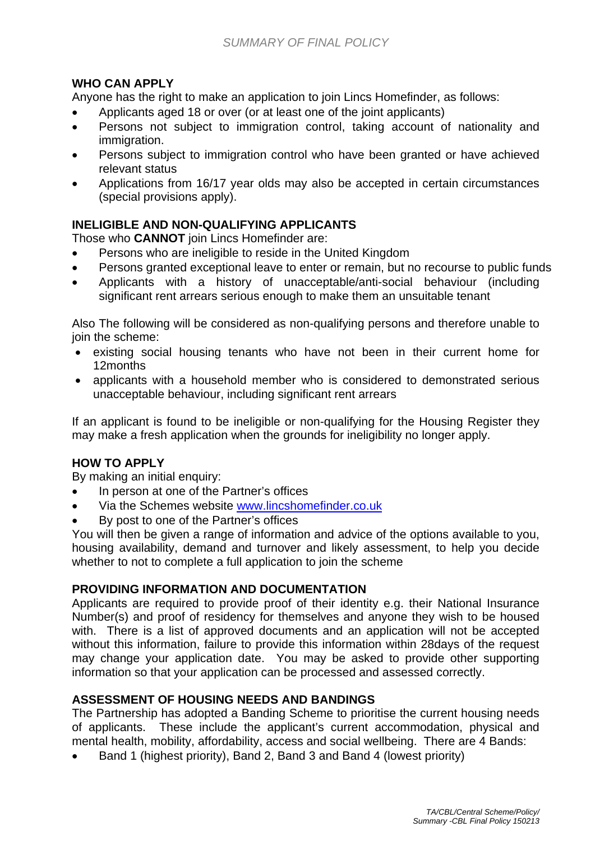# **WHO CAN APPLY**

Anyone has the right to make an application to join Lincs Homefinder, as follows:

- Applicants aged 18 or over (or at least one of the joint applicants)
- Persons not subject to immigration control, taking account of nationality and immigration.
- Persons subject to immigration control who have been granted or have achieved relevant status
- Applications from 16/17 year olds may also be accepted in certain circumstances (special provisions apply).

# **INELIGIBLE AND NON-QUALIFYING APPLICANTS**

Those who **CANNOT** join Lincs Homefinder are:

- Persons who are ineligible to reside in the United Kingdom
- Persons granted exceptional leave to enter or remain, but no recourse to public funds
- Applicants with a history of unacceptable/anti-social behaviour (including significant rent arrears serious enough to make them an unsuitable tenant

Also The following will be considered as non-qualifying persons and therefore unable to join the scheme:

- existing social housing tenants who have not been in their current home for 12months
- applicants with a household member who is considered to demonstrated serious unacceptable behaviour, including significant rent arrears

If an applicant is found to be ineligible or non-qualifying for the Housing Register they may make a fresh application when the grounds for ineligibility no longer apply.

# **HOW TO APPLY**

By making an initial enquiry:

- In person at one of the Partner's offices
- Via the Schemes website [www.lincshomefinder.co.uk](http://www.lincshomefinder.co.uk/)
- By post to one of the Partner's offices

You will then be given a range of information and advice of the options available to you, housing availability, demand and turnover and likely assessment, to help you decide whether to not to complete a full application to join the scheme

# **PROVIDING INFORMATION AND DOCUMENTATION**

Applicants are required to provide proof of their identity e.g. their National Insurance Number(s) and proof of residency for themselves and anyone they wish to be housed with. There is a list of approved documents and an application will not be accepted without this information, failure to provide this information within 28days of the request may change your application date. You may be asked to provide other supporting information so that your application can be processed and assessed correctly.

# **ASSESSMENT OF HOUSING NEEDS AND BANDINGS**

The Partnership has adopted a Banding Scheme to prioritise the current housing needs of applicants. These include the applicant's current accommodation, physical and mental health, mobility, affordability, access and social wellbeing. There are 4 Bands:

• Band 1 (highest priority), Band 2, Band 3 and Band 4 (lowest priority)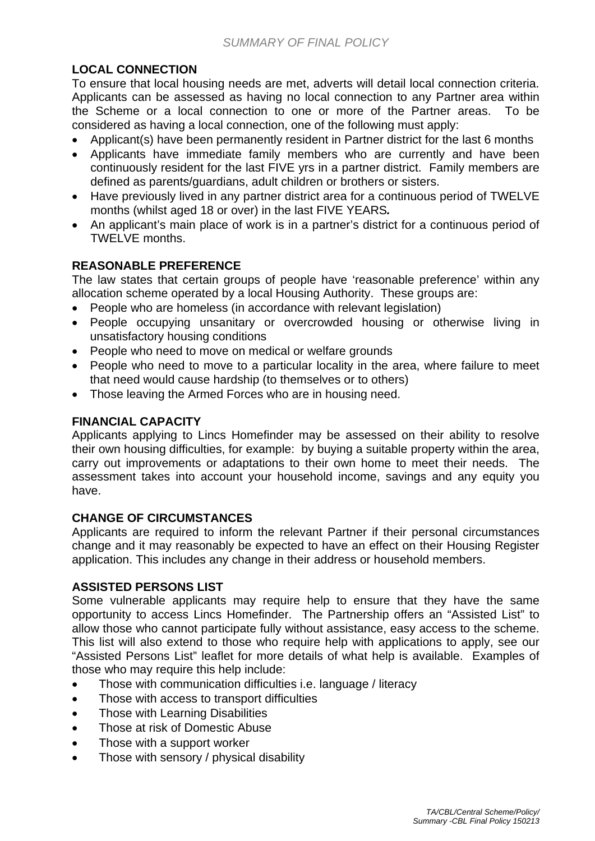# **LOCAL CONNECTION**

To ensure that local housing needs are met, adverts will detail local connection criteria. Applicants can be assessed as having no local connection to any Partner area within the Scheme or a local connection to one or more of the Partner areas. To be considered as having a local connection, one of the following must apply:

- Applicant(s) have been permanently resident in Partner district for the last 6 months
- Applicants have immediate family members who are currently and have been continuously resident for the last FIVE yrs in a partner district. Family members are defined as parents/guardians, adult children or brothers or sisters.
- Have previously lived in any partner district area for a continuous period of TWELVE months (whilst aged 18 or over) in the last FIVE YEARS*.*
- An applicant's main place of work is in a partner's district for a continuous period of TWELVE months.

### **REASONABLE PREFERENCE**

The law states that certain groups of people have 'reasonable preference' within any allocation scheme operated by a local Housing Authority. These groups are:

- People who are homeless (in accordance with relevant legislation)
- People occupying unsanitary or overcrowded housing or otherwise living in unsatisfactory housing conditions
- People who need to move on medical or welfare grounds
- People who need to move to a particular locality in the area, where failure to meet that need would cause hardship (to themselves or to others)
- Those leaving the Armed Forces who are in housing need.

#### **FINANCIAL CAPACITY**

Applicants applying to Lincs Homefinder may be assessed on their ability to resolve their own housing difficulties, for example: by buying a suitable property within the area, carry out improvements or adaptations to their own home to meet their needs. The assessment takes into account your household income, savings and any equity you have.

# **CHANGE OF CIRCUMSTANCES**

Applicants are required to inform the relevant Partner if their personal circumstances change and it may reasonably be expected to have an effect on their Housing Register application. This includes any change in their address or household members.

#### **ASSISTED PERSONS LIST**

Some vulnerable applicants may require help to ensure that they have the same opportunity to access Lincs Homefinder. The Partnership offers an "Assisted List" to allow those who cannot participate fully without assistance, easy access to the scheme. This list will also extend to those who require help with applications to apply, see our "Assisted Persons List" leaflet for more details of what help is available. Examples of those who may require this help include:

- Those with communication difficulties i.e. language / literacy
- Those with access to transport difficulties
- Those with Learning Disabilities
- Those at risk of Domestic Abuse
- Those with a support worker
- Those with sensory / physical disability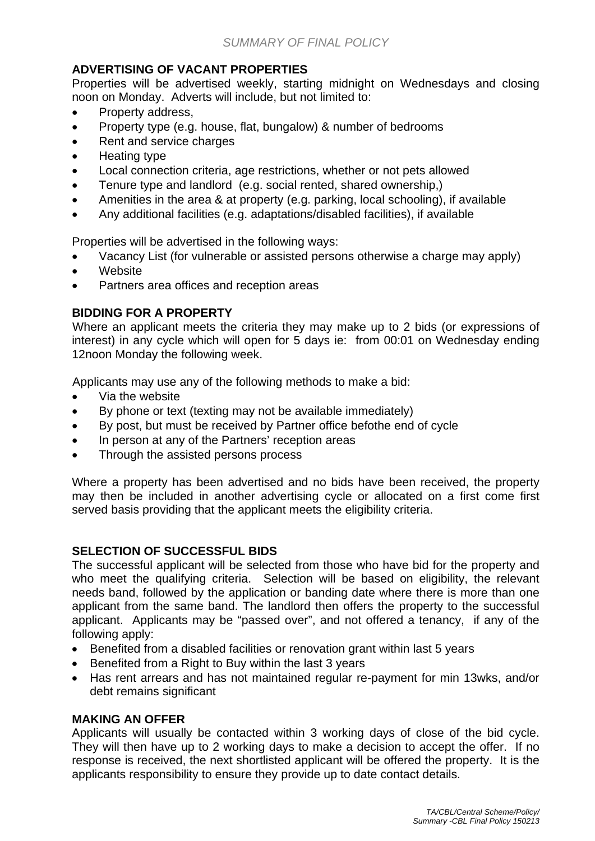# **ADVERTISING OF VACANT PROPERTIES**

Properties will be advertised weekly, starting midnight on Wednesdays and closing noon on Monday. Adverts will include, but not limited to:

- Property address,
- Property type (e.g. house, flat, bungalow) & number of bedrooms
- Rent and service charges
- Heating type
- Local connection criteria, age restrictions, whether or not pets allowed
- Tenure type and landlord (e.g. social rented, shared ownership,)
- Amenities in the area & at property (e.g. parking, local schooling), if available
- Any additional facilities (e.g. adaptations/disabled facilities), if available

Properties will be advertised in the following ways:

- Vacancy List (for vulnerable or assisted persons otherwise a charge may apply)
- Website
- Partners area offices and reception areas

#### **BIDDING FOR A PROPERTY**

Where an applicant meets the criteria they may make up to 2 bids (or expressions of interest) in any cycle which will open for 5 days ie: from 00:01 on Wednesday ending 12noon Monday the following week.

Applicants may use any of the following methods to make a bid:

- Via the website
- By phone or text (texting may not be available immediately)
- By post, but must be received by Partner office befothe end of cycle
- In person at any of the Partners' reception areas
- Through the assisted persons process

Where a property has been advertised and no bids have been received, the property may then be included in another advertising cycle or allocated on a first come first served basis providing that the applicant meets the eligibility criteria.

#### **SELECTION OF SUCCESSFUL BIDS**

The successful applicant will be selected from those who have bid for the property and who meet the qualifying criteria. Selection will be based on eligibility, the relevant needs band, followed by the application or banding date where there is more than one applicant from the same band. The landlord then offers the property to the successful applicant. Applicants may be "passed over", and not offered a tenancy, if any of the following apply:

- Benefited from a disabled facilities or renovation grant within last 5 years
- Benefited from a Right to Buy within the last 3 years
- Has rent arrears and has not maintained regular re-payment for min 13wks, and/or debt remains significant

#### **MAKING AN OFFER**

Applicants will usually be contacted within 3 working days of close of the bid cycle. They will then have up to 2 working days to make a decision to accept the offer. If no response is received, the next shortlisted applicant will be offered the property. It is the applicants responsibility to ensure they provide up to date contact details.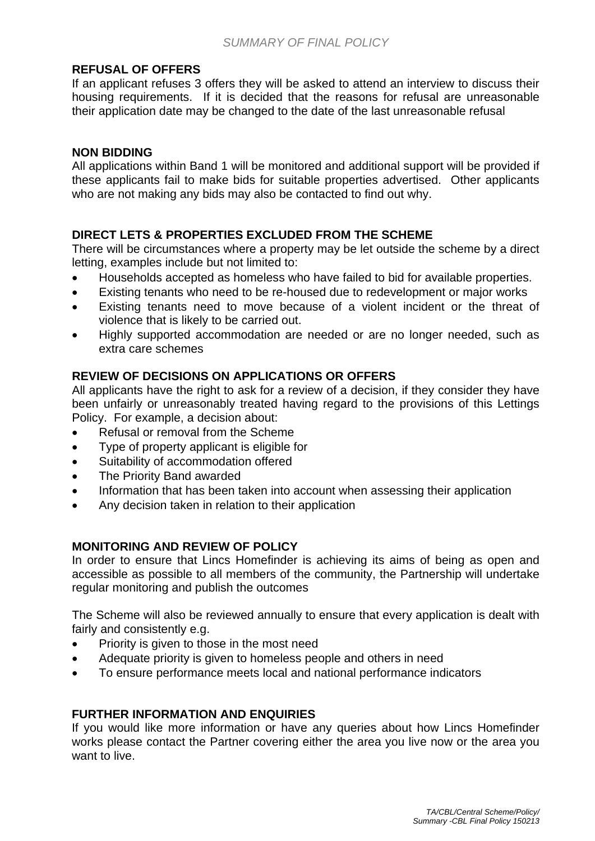### **REFUSAL OF OFFERS**

If an applicant refuses 3 offers they will be asked to attend an interview to discuss their housing requirements. If it is decided that the reasons for refusal are unreasonable their application date may be changed to the date of the last unreasonable refusal

### **NON BIDDING**

All applications within Band 1 will be monitored and additional support will be provided if these applicants fail to make bids for suitable properties advertised. Other applicants who are not making any bids may also be contacted to find out why.

# **DIRECT LETS & PROPERTIES EXCLUDED FROM THE SCHEME**

There will be circumstances where a property may be let outside the scheme by a direct letting, examples include but not limited to:

- Households accepted as homeless who have failed to bid for available properties.
- Existing tenants who need to be re-housed due to redevelopment or major works
- Existing tenants need to move because of a violent incident or the threat of violence that is likely to be carried out.
- Highly supported accommodation are needed or are no longer needed, such as extra care schemes

### **REVIEW OF DECISIONS ON APPLICATIONS OR OFFERS**

All applicants have the right to ask for a review of a decision, if they consider they have been unfairly or unreasonably treated having regard to the provisions of this Lettings Policy. For example, a decision about:

- Refusal or removal from the Scheme
- Type of property applicant is eligible for
- Suitability of accommodation offered
- The Priority Band awarded
- Information that has been taken into account when assessing their application
- Any decision taken in relation to their application

# **MONITORING AND REVIEW OF POLICY**

In order to ensure that Lincs Homefinder is achieving its aims of being as open and accessible as possible to all members of the community, the Partnership will undertake regular monitoring and publish the outcomes

The Scheme will also be reviewed annually to ensure that every application is dealt with fairly and consistently e.g.

- Priority is given to those in the most need
- Adequate priority is given to homeless people and others in need
- To ensure performance meets local and national performance indicators

# **FURTHER INFORMATION AND ENQUIRIES**

If you would like more information or have any queries about how Lincs Homefinder works please contact the Partner covering either the area you live now or the area you want to live.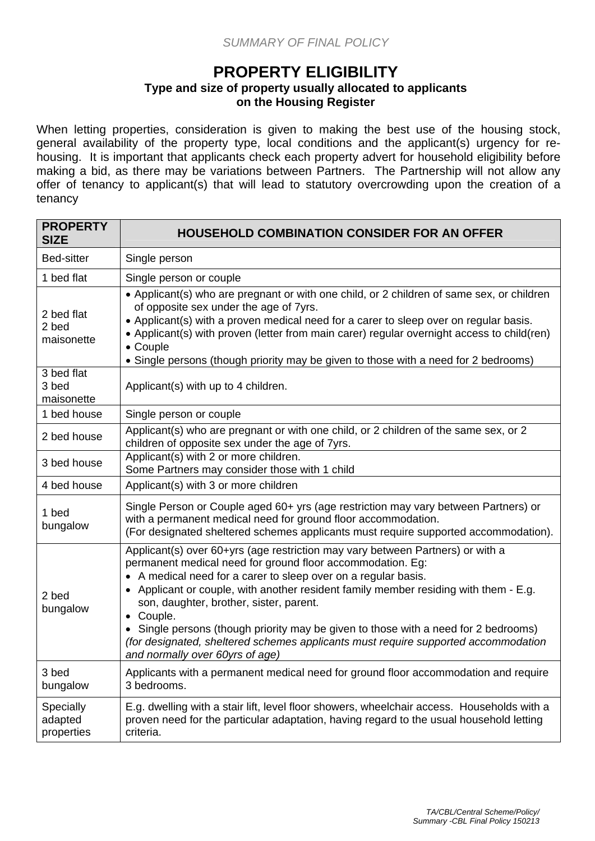# **PROPERTY ELIGIBILITY Type and size of property usually allocated to applicants on the Housing Register**

When letting properties, consideration is given to making the best use of the housing stock, general availability of the property type, local conditions and the applicant(s) urgency for rehousing. It is important that applicants check each property advert for household eligibility before making a bid, as there may be variations between Partners. The Partnership will not allow any offer of tenancy to applicant(s) that will lead to statutory overcrowding upon the creation of a tenancy

| <b>PROPERTY</b><br><b>SIZE</b>                      | <b>HOUSEHOLD COMBINATION CONSIDER FOR AN OFFER</b>                                                                                                                                                                                                                                                                                                                                                                                                                                                                                                                             |  |  |  |
|-----------------------------------------------------|--------------------------------------------------------------------------------------------------------------------------------------------------------------------------------------------------------------------------------------------------------------------------------------------------------------------------------------------------------------------------------------------------------------------------------------------------------------------------------------------------------------------------------------------------------------------------------|--|--|--|
| <b>Bed-sitter</b>                                   | Single person                                                                                                                                                                                                                                                                                                                                                                                                                                                                                                                                                                  |  |  |  |
| 1 bed flat                                          | Single person or couple                                                                                                                                                                                                                                                                                                                                                                                                                                                                                                                                                        |  |  |  |
| 2 bed flat<br>2 bed<br>maisonette                   | • Applicant(s) who are pregnant or with one child, or 2 children of same sex, or children<br>of opposite sex under the age of 7yrs.<br>• Applicant(s) with a proven medical need for a carer to sleep over on regular basis.<br>• Applicant(s) with proven (letter from main carer) regular overnight access to child(ren)<br>• Couple<br>• Single persons (though priority may be given to those with a need for 2 bedrooms)                                                                                                                                                  |  |  |  |
| 3 bed flat<br>3 bed<br>maisonette                   | Applicant(s) with up to 4 children.                                                                                                                                                                                                                                                                                                                                                                                                                                                                                                                                            |  |  |  |
| 1 bed house                                         | Single person or couple                                                                                                                                                                                                                                                                                                                                                                                                                                                                                                                                                        |  |  |  |
| 2 bed house                                         | Applicant(s) who are pregnant or with one child, or 2 children of the same sex, or 2<br>children of opposite sex under the age of 7yrs.                                                                                                                                                                                                                                                                                                                                                                                                                                        |  |  |  |
| 3 bed house                                         | Applicant(s) with 2 or more children.<br>Some Partners may consider those with 1 child                                                                                                                                                                                                                                                                                                                                                                                                                                                                                         |  |  |  |
| 4 bed house<br>Applicant(s) with 3 or more children |                                                                                                                                                                                                                                                                                                                                                                                                                                                                                                                                                                                |  |  |  |
| 1 bed<br>bungalow                                   | Single Person or Couple aged 60+ yrs (age restriction may vary between Partners) or<br>with a permanent medical need for ground floor accommodation.<br>(For designated sheltered schemes applicants must require supported accommodation).                                                                                                                                                                                                                                                                                                                                    |  |  |  |
| 2 bed<br>bungalow                                   | Applicant(s) over 60+yrs (age restriction may vary between Partners) or with a<br>permanent medical need for ground floor accommodation. Eg:<br>• A medical need for a carer to sleep over on a regular basis.<br>• Applicant or couple, with another resident family member residing with them - E.g.<br>son, daughter, brother, sister, parent.<br>• Couple.<br>• Single persons (though priority may be given to those with a need for 2 bedrooms)<br>(for designated, sheltered schemes applicants must require supported accommodation<br>and normally over 60yrs of age) |  |  |  |
| 3 bed<br>bungalow                                   | Applicants with a permanent medical need for ground floor accommodation and require<br>3 bedrooms.                                                                                                                                                                                                                                                                                                                                                                                                                                                                             |  |  |  |
| Specially<br>adapted<br>properties                  | E.g. dwelling with a stair lift, level floor showers, wheelchair access. Households with a<br>proven need for the particular adaptation, having regard to the usual household letting<br>criteria.                                                                                                                                                                                                                                                                                                                                                                             |  |  |  |